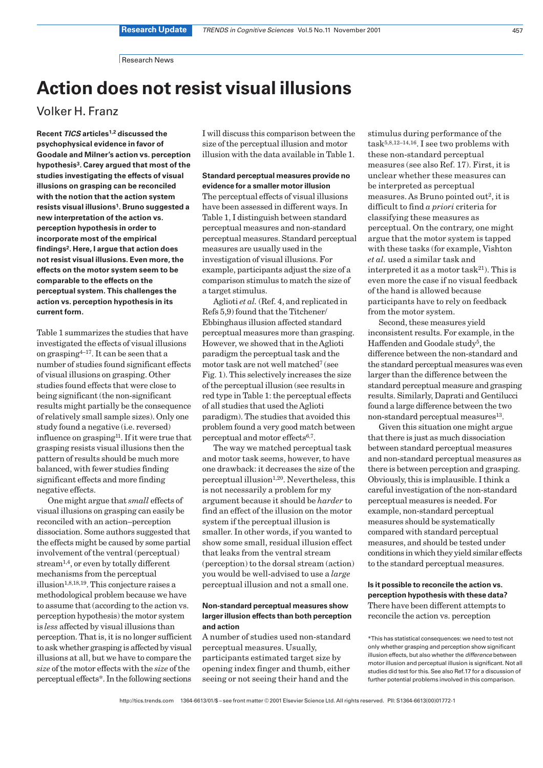Research News

# **Action does not resist visual illusions**

# Volker H. Franz

**Recent TICS articles1,2 discussed the psychophysical evidence in favor of Goodale and Milner's action vs. perception hypothesis3. Carey argued that most of the studies investigating the effects of visual illusions on grasping can be reconciled with the notion that the action system resists visual illusions1. Bruno suggested a new interpretation of the action vs. perception hypothesis in order to incorporate most of the empirical findings2. Here, I argue that action does not resist visual illusions. Even more, the effects on the motor system seem to be comparable to the effects on the perceptual system. This challenges the action vs. perception hypothesis in its current form.**

Table 1 summarizes the studies that have investigated the effects of visual illusions on grasping<sup>4–17</sup>. It can be seen that a number of studies found significant effects of visual illusions on grasping. Other studies found effects that were close to being significant (the non-significant results might partially be the consequence of relatively small sample sizes). Only one study found a negative (i.e. reversed) influence on grasping<sup>11</sup>. If it were true that grasping resists visual illusions then the pattern of results should be much more balanced, with fewer studies finding significant effects and more finding negative effects.

One might argue that *small* effects of visual illusions on grasping can easily be reconciled with an action–perception dissociation. Some authors suggested that the effects might be caused by some partial involvement of the ventral (perceptual) stream1,4, or even by totally different mechanisms from the perceptual illusion1,8,18,19. This conjecture raises a methodological problem because we have to assume that (according to the action vs. perception hypothesis) the motor system is *less* affected by visual illusions than perception. That is, it is no longer sufficient to ask whether grasping is affected by visual illusions at all, but we have to compare the *size* of the motor effects with the *size* of the perceptual effects\*. In the following sections

I will discuss this comparison between the size of the perceptual illusion and motor illusion with the data available in Table 1.

# **Standard perceptual measures provide no evidence for a smaller motor illusion**

The perceptual effects of visual illusions have been assessed in different ways. In Table 1, I distinguish between standard perceptual measures and non-standard perceptual measures. Standard perceptual measures are usually used in the investigation of visual illusions. For example, participants adjust the size of a comparison stimulus to match the size of a target stimulus.

Aglioti *et al.* (Ref. 4, and replicated in Refs 5,9) found that the Titchener/ Ebbinghaus illusion affected standard perceptual measures more than grasping. However, we showed that in the Aglioti paradigm the perceptual task and the motor task are not well matched7 (see Fig. 1). This selectively increases the size of the perceptual illusion (see results in red type in Table 1: the perceptual effects of all studies that used the Aglioti paradigm). The studies that avoided this problem found a very good match between perceptual and motor effects<sup>6,7</sup>.

The way we matched perceptual task and motor task seems, however, to have one drawback: it decreases the size of the perceptual illusion<sup>1,20</sup>. Nevertheless, this is not necessarily a problem for my argument because it should be *harder* to find an effect of the illusion on the motor system if the perceptual illusion is smaller. In other words, if you wanted to show some small, residual illusion effect that leaks from the ventral stream (perception) to the dorsal stream (action) you would be well-advised to use a *large* perceptual illusion and not a small one.

# **Non-standard perceptual measures show larger illusion effects than both perception and action**

A number of studies used non-standard perceptual measures. Usually, participants estimated target size by opening index finger and thumb, either seeing or not seeing their hand and the

stimulus during performance of the task<br/>5,8,12–14,16. I see two problems with these non-standard perceptual measures (see also Ref. 17). First, it is unclear whether these measures can be interpreted as perceptual measures. As Bruno pointed out<sup>2</sup>, it is difficult to find *a priori* criteria for classifying these measures as perceptual. On the contrary, one might argue that the motor system is tapped with these tasks (for example, Vishton *et al.* used a similar task and interpreted it as a motor task $^{21}$ ). This is even more the case if no visual feedback of the hand is allowed because participants have to rely on feedback from the motor system.

Second, these measures yield inconsistent results. For example, in the Haffenden and Goodale study<sup>5</sup>, the difference between the non-standard and the standard perceptual measures was even larger than the difference between the standard perceptual measure and grasping results. Similarly, Daprati and Gentilucci found a large difference between the two non-standard perceptual measures<sup>13</sup>.

Given this situation one might argue that there is just as much dissociation between standard perceptual measures and non-standard perceptual measures as there is between perception and grasping. Obviously, this is implausible. I think a careful investigation of the non-standard perceptual measures is needed. For example, non-standard perceptual measures should be systematically compared with standard perceptual measures, and should be tested under conditions in which they yield similar effects to the standard perceptual measures.

# **Is it possible to reconcile the action vs. perception hypothesis with these data?**  There have been different attempts to reconcile the action vs. perception

\*This has statistical consequences: we need to test not only whether grasping and perception show significant illusion effects, but also whether the difference between motor illusion and perceptual illusion is significant. Not all studies did test for this. See also Ref.17 for a discussion of further potential problems involved in this comparison.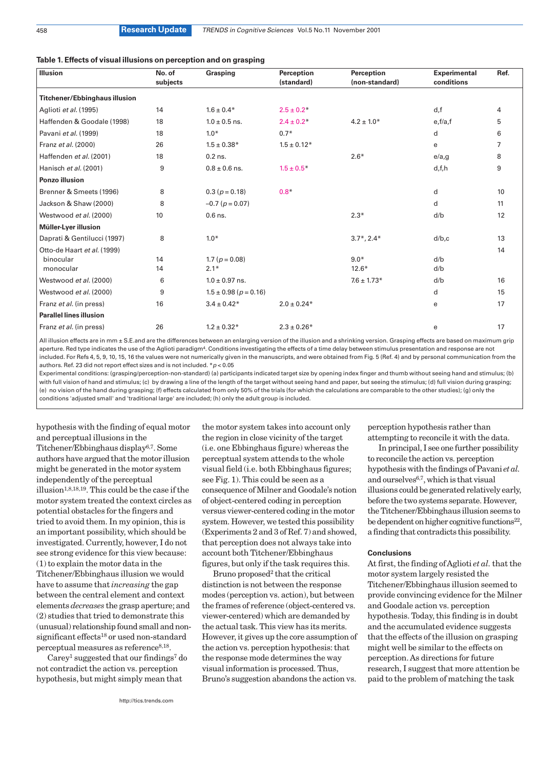#### **Table 1. Effects of visual illusions on perception and on grasping**

| <b>Illusion</b>                      | No. of<br>subjects | Grasping                      | Perception<br>(standard) | Perception<br>(non-standard) | <b>Experimental</b><br>conditions | Ref.           |
|--------------------------------------|--------------------|-------------------------------|--------------------------|------------------------------|-----------------------------------|----------------|
| <b>Titchener/Ebbinghaus illusion</b> |                    |                               |                          |                              |                                   |                |
| Aglioti et al. (1995)                | 14                 | $1.6 \pm 0.4*$                | $2.5 \pm 0.2*$           |                              | d,f                               | 4              |
| Haffenden & Goodale (1998)           | 18                 | $1.0 \pm 0.5$ ns.             | $2.4 \pm 0.2*$           | $4.2 \pm 1.0*$               | e,f/a,f                           | 5              |
| Pavani et al. (1999)                 | 18                 | $1.0*$                        | $0.7*$                   |                              | d                                 | 6              |
| Franz et al. (2000)                  | 26                 | $1.5 \pm 0.38*$               | $1.5 \pm 0.12*$          |                              | e                                 | $\overline{7}$ |
| Haffenden et al. (2001)              | 18                 | $0.2$ ns.                     |                          | $2.6*$                       | $e/a$ ,g                          | 8              |
| Hanisch et al. (2001)                | 9                  | $0.8 \pm 0.6$ ns.             | $1.5 \pm 0.5*$           |                              | d, f, h                           | 9              |
| <b>Ponzo illusion</b>                |                    |                               |                          |                              |                                   |                |
| Brenner & Smeets (1996)              | 8                  | $0.3 (p = 0.18)$              | $0.8*$                   |                              | d                                 | 10             |
| Jackson & Shaw (2000)                | 8                  | $-0.7$ ( $p = 0.07$ )         |                          |                              | d                                 | 11             |
| Westwood et al. (2000)               | 10                 | $0.6$ ns.                     |                          | $2.3*$                       | d/b                               | 12             |
| Müller-Lyer illusion                 |                    |                               |                          |                              |                                   |                |
| Daprati & Gentilucci (1997)          | 8                  | $1.0*$                        |                          | $3.7^*$ , $2.4^*$            | $d/b$ , $c$                       | 13             |
| Otto-de Haart et al. (1999)          |                    |                               |                          |                              |                                   | 14             |
| binocular                            | 14                 | 1.7 ( $p = 0.08$ )            |                          | $9.0*$                       | d/b                               |                |
| monocular                            | 14                 | $2.1*$                        |                          | $12.6*$                      | d/b                               |                |
| Westwood et al. (2000)               | 6                  | $1.0 \pm 0.97$ ns.            |                          | $7.6 \pm 1.73*$              | d/b                               | 16             |
| Westwood et al. (2000)               | 9                  | $1.5 \pm 0.98$ ( $p = 0.16$ ) |                          |                              | d                                 | 15             |
| Franz et al. (in press)              | 16                 | $3.4 \pm 0.42*$               | $2.0 \pm 0.24*$          |                              | e                                 | 17             |
| <b>Parallel lines illusion</b>       |                    |                               |                          |                              |                                   |                |
| Franz et al. (in press)              | 26                 | $1.2 \pm 0.32*$               | $2.3 \pm 0.26*$          |                              | e                                 | 17             |

All illusion effects are in mm ± S.E.and are the differences between an enlarging version of the illusion and a shrinking version. Grasping effects are based on maximum grip aperture. Red type indicates the use of the Aglioti paradigm<sup>4</sup>. Conditions investigating the effects of a time delay between stimulus presentation and response are not included. For Refs 4, 5, 9, 10, 15, 16 the values were not numerically given in the manuscripts, and were obtained from Fig. 5 (Ref. 4) and by personal communication from the authors. Ref. 23 did not report effect sizes and is not included.  $* p < 0.05$ 

Experimental conditions: (grasping/perception-non-standard) (a) participants indicated target size by opening index finger and thumb without seeing hand and stimulus; (b) with full vision of hand and stimulus; (c) by drawing a line of the length of the target without seeing hand and paper, but seeing the stimulus; (d) full vision during grasping; (e) no vision of the hand during grasping; (f) effects calculated from only 50% of the trials (for which the calculations are comparable to the other studies); (g) only the conditions 'adjusted small' and 'traditional large' are included; (h) only the adult group is included.

hypothesis with the finding of equal motor and perceptual illusions in the Titchener/Ebbinghaus display6,7. Some authors have argued that the motor illusion might be generated in the motor system independently of the perceptual illusion1,8,18,19. This could be the case if the motor system treated the context circles as potential obstacles for the fingers and tried to avoid them. In my opinion, this is an important possibility, which should be investigated. Currently, however, I do not see strong evidence for this view because: (1) to explain the motor data in the Titchener/Ebbinghaus illusion we would have to assume that *increasing* the gap between the central element and context elements *decreases* the grasp aperture; and (2) studies that tried to demonstrate this (unusual) relationship found small and nonsignificant effects18 or used non-standard  $perceptual measures as reference<sup>8,18</sup>.$ 

 $Carev<sup>1</sup>$  suggested that our findings<sup>7</sup> do not contradict the action vs. perception hypothesis, but might simply mean that

http://tics.trends.com

the motor system takes into account only the region in close vicinity of the target (i.e. one Ebbinghaus figure) whereas the perceptual system attends to the whole visual field (i.e. both Ebbinghaus figures; see Fig. 1). This could be seen as a consequence of Milner and Goodale's notion of object-centered coding in perception versus viewer-centered coding in the motor system. However, we tested this possibility (Experiments 2 and 3 of Ref. 7) and showed, that perception does not always take into account both Titchener/Ebbinghaus figures, but only if the task requires this.

Bruno proposed2 that the critical distinction is not between the response modes (perception vs. action), but between the frames of reference (object-centered vs. viewer-centered) which are demanded by the actual task. This view has its merits. However, it gives up the core assumption of the action vs. perception hypothesis: that the response mode determines the way visual information is processed. Thus, Bruno's suggestion abandons the action vs.

perception hypothesis rather than attempting to reconcile it with the data.

In principal, I see one further possibility to reconcile the action vs. perception hypothesis with the findings of Pavani *et al.* and ourselves6,7, which is that visual illusions could be generated relatively early, before the two systems separate. However, the Titchener/Ebbinghaus illusion seems to be dependent on higher cognitive functions<sup>22</sup>, a finding that contradicts this possibility.

#### **Conclusions**

At first, the finding of Aglioti *et al.*that the motor system largely resisted the Titchener/Ebbinghaus illusion seemed to provide convincing evidence for the Milner and Goodale action vs. perception hypothesis. Today, this finding is in doubt and the accumulated evidence suggests that the effects of the illusion on grasping might well be similar to the effects on perception. As directions for future research, I suggest that more attention be paid to the problem of matching the task